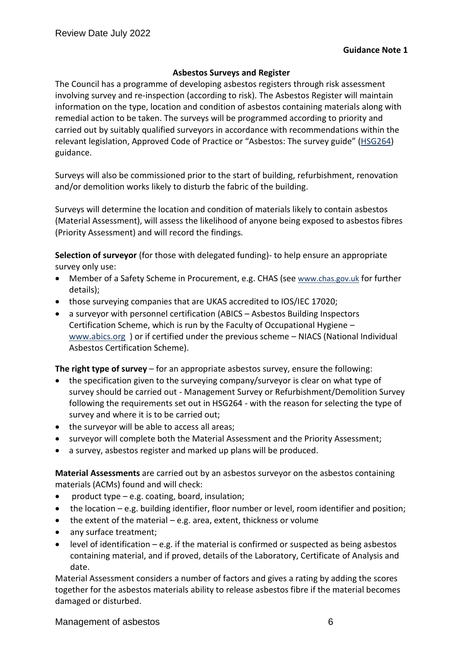## **Asbestos Surveys and Register**

The Council has a programme of developing asbestos registers through risk assessment involving survey and re-inspection (according to risk). The Asbestos Register will maintain information on the type, location and condition of asbestos containing materials along with remedial action to be taken. The surveys will be programmed according to priority and carried out by suitably qualified surveyors in accordance with recommendations within the relevant legislation, Approved Code of Practice or "Asbestos: The survey guide" ([HSG264\)](http://www.hse.gov.uk/pubns/priced/hsg264.pdf) guidance.

Surveys will also be commissioned prior to the start of building, refurbishment, renovation and/or demolition works likely to disturb the fabric of the building.

Surveys will determine the location and condition of materials likely to contain asbestos (Material Assessment), will assess the likelihood of anyone being exposed to asbestos fibres (Priority Assessment) and will record the findings.

**Selection of surveyor** (for those with delegated funding)- to help ensure an appropriate survey only use:

- Member of a Safety Scheme in Procurement, e.g. CHAS (see [www.chas.gov.uk](http://www.chas.gov.uk/) for further details);
- those surveying companies that are UKAS accredited to IOS/IEC 17020;
- a surveyor with personnel certification (ABICS Asbestos Building Inspectors Certification Scheme, which is run by the Faculty of Occupational Hygiene – [www.abics.org](http://www.abics.org/) ) or if certified under the previous scheme – NIACS (National Individual Asbestos Certification Scheme).

**The right type of survey** – for an appropriate asbestos survey, ensure the following:

- the specification given to the surveying company/surveyor is clear on what type of survey should be carried out - Management Survey or Refurbishment/Demolition Survey following the requirements set out in HSG264 - with the reason for selecting the type of survey and where it is to be carried out;
- the surveyor will be able to access all areas;
- surveyor will complete both the Material Assessment and the Priority Assessment;
- a survey, asbestos register and marked up plans will be produced.

**Material Assessments** are carried out by an asbestos surveyor on the asbestos containing materials (ACMs) found and will check:

- product type  $-e.g.$  coating, board, insulation;
- the location e.g. building identifier, floor number or level, room identifier and position;
- $\bullet$  the extent of the material e.g. area, extent, thickness or volume
- any surface treatment;
- level of identification e.g. if the material is confirmed or suspected as being asbestos containing material, and if proved, details of the Laboratory, Certificate of Analysis and date.

Material Assessment considers a number of factors and gives a rating by adding the scores together for the asbestos materials ability to release asbestos fibre if the material becomes damaged or disturbed.

Management of asbestos 6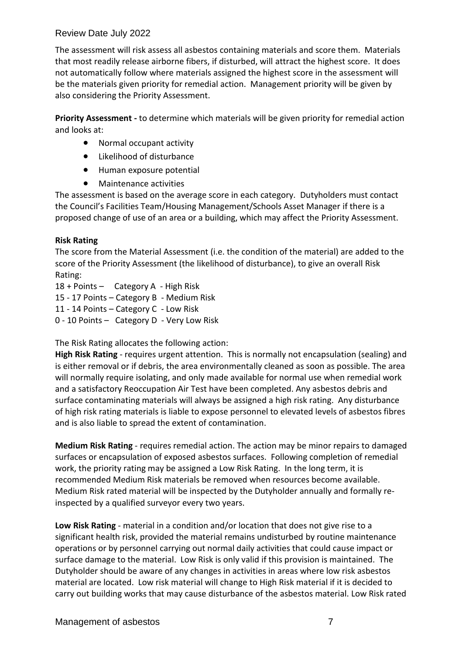# Review Date July 2022

The assessment will risk assess all asbestos containing materials and score them. Materials that most readily release airborne fibers, if disturbed, will attract the highest score. It does not automatically follow where materials assigned the highest score in the assessment will be the materials given priority for remedial action. Management priority will be given by also considering the Priority Assessment.

**Priority Assessment -** to determine which materials will be given priority for remedial action and looks at:

- Normal occupant activity
- Likelihood of disturbance
- Human exposure potential
- Maintenance activities

The assessment is based on the average score in each category. Dutyholders must contact the Council's Facilities Team/Housing Management/Schools Asset Manager if there is a proposed change of use of an area or a building, which may affect the Priority Assessment.

### **Risk Rating**

The score from the Material Assessment (i.e. the condition of the material) are added to the score of the Priority Assessment (the likelihood of disturbance), to give an overall Risk Rating:

18 + Points – Category A - High Risk 15 - 17 Points – Category B - Medium Risk 11 - 14 Points – Category C - Low Risk 0 - 10 Points – Category D - Very Low Risk

The Risk Rating allocates the following action:

**High Risk Rating** - requires urgent attention. This is normally not encapsulation (sealing) and is either removal or if debris, the area environmentally cleaned as soon as possible. The area will normally require isolating, and only made available for normal use when remedial work and a satisfactory Reoccupation Air Test have been completed. Any asbestos debris and surface contaminating materials will always be assigned a high risk rating. Any disturbance of high risk rating materials is liable to expose personnel to elevated levels of asbestos fibres and is also liable to spread the extent of contamination.

**Medium Risk Rating** - requires remedial action. The action may be minor repairs to damaged surfaces or encapsulation of exposed asbestos surfaces. Following completion of remedial work, the priority rating may be assigned a Low Risk Rating. In the long term, it is recommended Medium Risk materials be removed when resources become available. Medium Risk rated material will be inspected by the Dutyholder annually and formally reinspected by a qualified surveyor every two years.

**Low Risk Rating** - material in a condition and/or location that does not give rise to a significant health risk, provided the material remains undisturbed by routine maintenance operations or by personnel carrying out normal daily activities that could cause impact or surface damage to the material. Low Risk is only valid if this provision is maintained. The Dutyholder should be aware of any changes in activities in areas where low risk asbestos material are located. Low risk material will change to High Risk material if it is decided to carry out building works that may cause disturbance of the asbestos material. Low Risk rated